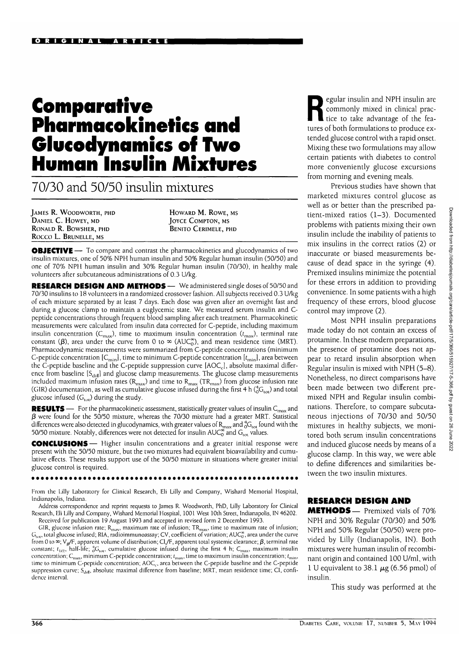# **Comparative Pharmacokinetics and Glucodynamics of Two Human Insulin Mixtures**

70/30 and 50/50 insulin mixtures

JAMES R. WOODWORTH, PHD DANIEL C. HOWEY, MD RONALD R. BOWSHER, PHD Rocco L. BRUNELLE, MS

HOWARD M. ROWE, MS **JOYCE COMPTON, MS** BENITO CERIMELE, PHD

**OBJECTIVE** — To compare and contrast the pharmacokinetics and glucodynamics of two insulin mixtures, one of 50% NPH human insulin and 50% Regular human insulin (50/50) and one of 70% NPH human insulin and 30% Regular human insulin (70/30), in healthy male volunteers after subcutaneous administrations of 0.3 U/kg.

**RESEARCH DESIGN AND METHODS** — We administered single doses of 50/50 and 70/30 insulins to 18 volunteers in a randomized crossover fashion. All subjects received 0.3 U/kg of each mixture separated by at least 7 days. Each dose was given after an overnight fast and during a glucose clamp to maintain a euglycemic state. We measured serum insulin and Cpeptide concentrations through frequent blood sampling after each treatment. Pharmacokinetic measurements were calculated from insulin data corrected for C-peptide, including maximum insulin concentration ( $C_{\text{max}}$ ), time to maximum insulin concentration ( $t_{\text{max}}$ ), terminal rate constant ( $\beta$ ), area under the curve from 0 to  $\infty$  (AUC<sub>0</sub><sup> $\infty$ </sup>), and mean residence time (MRT). Pharmacodynamic measurements were summarized from C-peptide concentrations (minimum C-peptide concentration  $[C_{\text{min}}]$ , time to minimum C-peptide concentration  $[t_{\text{min}}]$ , area between the C-peptide baseline and the C-peptide suppression curve  $[AOC_c]$ , absolute maximal difference from baseline  $[S_{\text{diff}}]$  and glucose clamp measurements. The glucose clamp measurements included maximum infusion rates ( $R_{\rm max}$ ) and time to  $R_{\rm max}$  (T $R_{\rm max}$ ) from glucose infusion rate (GIR) documentation, as well as cumulative glucose infused during the first 4 h ( ${}_{0}^{4}G_{10}$ ) and total glucose infused  $(G<sub>tot</sub>)$  during the study.

**RESULTS** — For the pharmacokinetic assessment, statistically greater values of insulin C<sub>max</sub> and  $\beta$  were found for the 50/50 mixture, whereas the 70/30 mixture had a greater MRT. Statistical differences were also detected in glucodynamics, with greater values of  $R_{max}$  and  ${}^{4}_{0}G_{tot}$  found with the 50/50 mixture. Notably, differences were not detected for insulin  $AUC^{\infty}_{0}$  and  $G_{tot}$  values.

**CONCLUSIONS**— Higher insulin concentrations and a greater initial response were present with the 50/50 mixture, but the two mixtures had equivalent bioavailability and cumulative effects. These results support use of the 50/50 mixture in situations where greater initial glucose control is required.

#### .............................

From the Lilly Laboratory for Clinical Research, Eli Lilly and Company, Wishard Memorial Hospital, Indianapolis, Indiana.

Address correspondence and reprint requests to James R. Woodworth, PhD, Lilly Laboratory for Clinical Research, Eli Lilly and Company, Wishard Memorial Hospital, 1001 West 10th Street, Indianapolis, IN 46202. Received for publication 19 August 1993 and accepted in revised form 2 December 1993.

GIR, glucose infusion rate; R<sub>max</sub>, maximum rate of infusion; TR<sub>max</sub>, time to maximum rate of infusion;  $\rm G_{tot}$ , total glucose infused; RIA, radioimmunoassay; CV, coefficient of variation; AUC $_\mathrm{o}^\infty$ , area under the curve from 0 to  $\infty$ ; V<sub> $\beta$ </sub>/F, apparent volume of distribution; Cl<sub>s</sub>/F, apparent total systemic clearance;  $\beta$ , terminal rate constant;  $t_{1/2}$ , half-life;  ${}_{0}^{4}G_{\text{tot}}$ , cumulative glucose infused during the first 4 h; C<sub>max</sub>, maximum insulin concentration;  $C_{\text{min}}$ , minimum C-peptide concentration;  $t_{\text{max}}$ , time to maximum insulin concentration;  $t_{\text{min}}$ , time to minimum C-peptide concentration; AOC<sub>c</sub>, area between the C-peptide baseline and the C-peptide suppression curve;  $S_{\text{diff}}$ , absolute maximal difference from baseline; MRT, mean residence time; CI, confidence interval.

Expediar insulin and NPH insulin are<br>commonly mixed in clinical practice to take advantage of the feacommonly mixed in clinical practice to take advantage of the features of both formulations to produce extended glucose control with a rapid onset. Mixing these two formulations may allow certain patients with diabetes to control more conveniently glucose excursions from morning and evening meals.

Previous studies have shown that marketed mixtures control glucose as well as or better than the prescribed patient-mixed ratios (1-3). Documented problems with patients mixing their own insulin include the inability of patients to mix insulins in the correct ratios (2) or inaccurate or biased measurements because of dead space in the syringe (4). Premixed insulins minimize the potential for these errors in addition to providing convenience. In some patients with a high frequency of these errors, blood glucose control may improve (2).

Most NPH insulin preparations made today do not contain an excess of protamine. In these modern preparations, the presence of protamine does not appear to retard insulin absorption when Regular insulin is mixed with NPH (5-8). Nonetheless, no direct comparisons have been made between two different premixed NPH and Regular insulin combinations. Therefore, to compare subcutaneous injections of 70/30 and 50/50 mixtures in healthy subjects, we monitored both serum insulin concentrations and induced glucose needs by means of a glucose clamp. In this way, we were able to define differences and similarities between the two insulin mixtures.

### RESEARCH DESIGN AND

METHODS— Premixed vials of 70% NPH and 30% Regular (70/30) and 50% NPH and 50% Regular (50/50) were provided by Lilly (Indianapolis, IN). Both mixtures were human insulin of recombinant origin and contained 100 U/ml, with 1 U equivalent to 38.1  $\mu$ g (6.56 pmol) of insulin.

This study was performed at the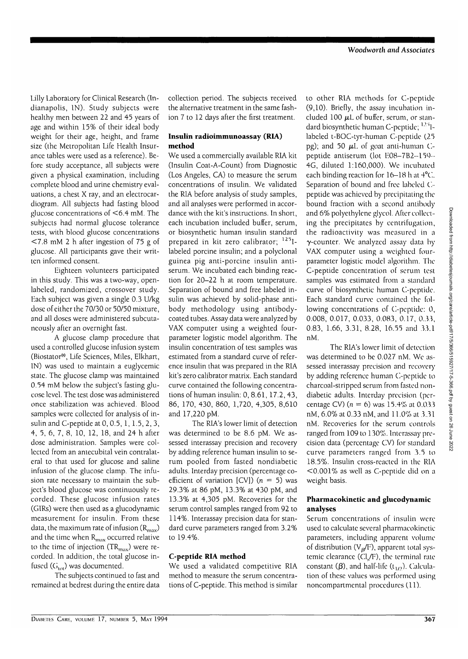Lilly Laboratory for Clinical Research (Indianapolis, IN). Study subjects were healthy men between 22 and 45 years of age and within 15% of their ideal body weight for their age, height, and frame size (the Metropolitan Life Health Insurance tables were used as a reference). Before study acceptance, all subjects were given a physical examination, including complete blood and urine chemistry evaluations, a chest X ray, and an electrocardiogram. All subjects had fasting blood glucose concentrations of <6.4 mM. The subjects had normal glucose tolerance tests, with blood glucose concentrations <7.8 mM 2 h after ingestion of 75 g of glucose. All participants gave their written informed consent.

Eighteen volunteers participated in this study. This was a two-way, openlabeled, randomized, crossover study. Each subject was given a single 0.3 U/kg dose of either the 70/30 or 50/50 mixture, and all doses were administered subcutancously after an overnight fast.

A glucose clamp procedure that used a controlled glucose infusion system (Biostator®, Life Sciences, Miles, Elkhart, IN) was used to maintain a euglycemic state. The glucose clamp was maintained 0.54 mM below the subject's fasting glucose level. The test dose was administered once stabilization was achieved. Blood samples were collected for analysis of insulin and C-peptide at 0, 0.5, 1, 1.5, 2, 3, 4, 5, 6, 7, 8, 10, 12, 18, and 24 h after dose administration. Samples were collected from an antecubital vein contralateral to that used for glucose and saline infusion of the glucose clamp. The infusion rate necessary to maintain the subject's blood glucose was continuously recorded. These glucose infusion rates (GIRs) were then used as a glucodynamic measurement for insulin. From these data, the maximum rate of infusion  $(R<sub>max</sub>)$ and the time when  $R_{\text{max}}$  occurred relative to the time of injection  $\text{TR}_{\text{max}}$ ) were recorded. In addition, the total glucose infused ( $G<sub>tot</sub>$ ) was documented.

The subjects continued to fast and remained at bedrest during the entire data

collection period. The subjects received the alternative treatment in the same fashion 7 to 12 days after the first treatment.

# **Insulin radioimmunoassay (RIA) method**

We used a commercially available RIA kit (Insulin Coat-A-Count) from Diagnostic (Los Angeles, CA) to measure the serum concentrations of insulin. We validated the RIA before analysis of study samples, and all analyses were performed in accordance with the kit's instructions. In short, each incubation included buffer, serum, or biosynthetic human insulin standard prepared in kit zero calibrator; <sup>125</sup>llabeled porcine insulin; and a polyclonal guinea pig anti-porcine insulin antiserum. We incubated each binding reaction for 20-22 h at room temperature. Separation of bound and free labeled insulin was achieved by solid-phase antibody methodology using antibodycoated tubes. Assay data were analyzed by VAX computer using a weighted fourparameter logistic model algorithm. The insulin concentration of test samples was estimated from a standard curve of reference insulin that was prepared in the RIA kit's zero calibrator matrix. Each standard curve contained the following concentrations of human insulin: 0, 8.61, 17.2, 43, 86, 170, 430, 860, 1,720, 4,305, 8,610 and 17,220 pM.

The RIA's lower limit of detection was determined to be 8.6 pM. We assessed interassay precision and recovery by adding reference human insulin to serum pooled from fasted nondiabetic adults. Interday precision (percentage coefficient of variation [CV]) ( $n = 5$ ) was 29.3% at 86 pM, 13.3% at 430 pM, and 13.3% at 4,305 pM. Recoveries for the serum control samples ranged from 92 to 114%. Interassay precision data for standard curve parameters ranged from 3.2% to 19.4%.

# **C-peptide RIA method**

We used a validated competitive RIA method to measure the serum concentrations of C-peptide. This method is similar

to other RIA methods for C-peptide (9,10). Briefly, the assay incubation included 100  $\mu$ L of buffer, serum, or standard biosynthetic human C-peptide; <sup>125</sup>1labeled t-BOC-tyr-human C-peptidc (25 pg); and 50  $\mu$ I. of goat anti-human Cpeptide antiserum (lot E08-7B2-159- 4G, diluted 1:160,000). We incubated each binding reaction for 16-18 h at  $4^{\circ}$ C. Separation of bound and free labeled C-peptide was achieved by precipitating the bound fraction with a second antibody and 6% polyethylene glycol. After collecting the precipitates by centrifugation, the radioactivity was measured in a 7-counter. We analyzed assay data by VAX computer using a weighted fourparameter logistic model algorithm. The C-peptide concentration of serum test samples was estimated from a standard curve of biosynthetic human C-peptide. Each standard curve contained the following concentrations of C-peptide: 0, 0.008, 0.017, 0.033, 0.083, 0.17, 0.33, 0.83, 1.66, 3.31, 8.28, 16.55 and 33.1 nM.

The RIA's lower limit of detection was determined to be 0.027 nM. We assessed interassay precision and recovery by adding reference human C-peptide to charcoal-stripped serum from fasted nondiabetic adults. Interday precision (percentage CV) ( $n = 6$ ) was 15.4% at 0.033 nM, 6.0% at 0.33 nM, and 11.0% at 3.31 nM. Recoveries for the serum controls ranged from 109 to 130%. Interassay precision data (percentage CV) for standard curve parameters ranged from 3.5 to 18.5%. Insulin cross-reacted in the RIA <0.001% as well as C-peptide did on a weight basis.

# **Pharmacokinetic and glucodynamic analyses**

Serum concentrations of insulin were used to calculate several pharmacokinetic parameters, including apparent volume of distribution ( $V<sub>g</sub>/F$ ), apparent total systemic clearance ( $Cl<sub>s</sub>/F$ ), the terminal rate constant ( $\beta$ ), and half-life (t<sub>1/2</sub>). Calculation of these values was performed using noncompartmental procedures (11).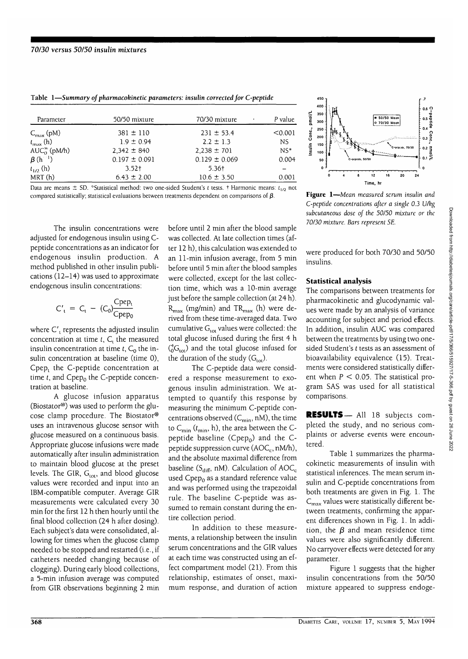| Parameter                  | 50/50 mixture     | 70/30 mixture     | P value   |
|----------------------------|-------------------|-------------------|-----------|
| $C_{\text{max}}$ (pM)      | $381 \pm 110$     | $231 \pm 53.4$    | < 0.001   |
| $t_{\max}$ (h)             | $1.9 \pm 0.94$    | $2.2 \pm 1.3$     | <b>NS</b> |
| $AUC_0^{\infty}$ (pM/h)    | $2.342 \pm 840$   | $2,238 \pm 701$   | $NS*$     |
| $\beta$ (h <sup>-1</sup> ) | $0.197 \pm 0.091$ | $0.129 \pm 0.069$ | 0.004     |
| $t_{1/2}$ (h)              | $3.52+$           | 5.36†             |           |
| MRT(h)                     | $6.43 \pm 2.00$   | $10.6 \pm 3.50$   | 0.001     |

laoic i—*nummary* **o/ pnarmacoremeiit parameu** 'r\*. *insulin corrected jor \^-p epuuc*

Data are means  $\pm$  SD. "Statistical method: two one-sided Student's *t* tests. † Harmonic means:  $t_{1/2}$  not compared statistically; statistical evaluations between treatments dependent on comparisons of  $\beta$ .

The insulin concentrations were adjusted for endogenous insulin using Cpeptide concentrations as an indicator for endogenous insulin production. A method published in other insulin publications (12-14) was used to approximate endogenous insulin concentrations:

$$
C'_{t} = C_{t} - (C_{0}) \frac{C_{pep_{t}}}{C_{pep_{0}}}
$$

where C'<sub>1</sub> represents the adjusted insulin concentration at time  $t$ ,  $C_t$  the measured insulin concentration at time  $t$ ,  $C_0$  the insulin concentration at baseline (time 0), Cpep, the C-peptide concentration at time *t*, and Cpep<sub>0</sub> the C-peptide concentration at baseline.

A glucose infusion apparatus (Biostator®) was used to perform the glucose clamp procedure. The Biostator® uses an intravenous glucose sensor with glucose measured on a continuous basis. Appropriate glucose infusions were made automatically after insulin administration to maintain blood glucose at the preset levels. The GIR,  $G_{\text{tot}}$ , and blood glucose values were recorded and input into an IBM-compatible computer. Average GIR measurements were calculated every 30 min for the first 12 h then hourly until the final blood collection (24 h after dosing). Each subject's data were consolidated, allowing for times when the glucose clamp needed to be stopped and restarted (i.e., if catheters needed changing because of clogging). During early blood collections, a 5-min infusion average was computed from GIR observations beginning 2 min

before until 2 min after the blood sample was collected. At late collection times (after 12 h), this calculation was extended to an 11-min infusion average, from 5 min before until 5 min after the blood samples were collected, except for the last collection time, which was a 10-min average just before the sample collection (at 24 h).  $R_{\text{max}}$  (mg/min) and TR<sub>max</sub> (h) were derived from these time-averaged data. Two cumulative  $G<sub>tot</sub>$  values were collected: the total glucose infused during the first 4 h  $({}^4_0G_{\text{tot}})$  and the total glucose infused for the duration of the study  $(G<sub>tot</sub>)$ .

The C-peptide data were considered a response measurement to exogenous insulin administration. We attempted to quantify this response by measuring the minimum C-peptide concentrations observed  $(C_{\text{min}}, nM)$ , the time to  $C_{\text{min}}$  ( $t_{\text{min}}$ , h), the area between the Cpeptide baseline (Cpe $p_0$ ) and the Cpeptide suppression curve  $(AOC<sub>c</sub>, nM/h)$ , and the absolute maximal difference from baseline ( $S_{diff}$ , nM). Calculation of AOC<sub>c</sub> used Cpep<sub>o</sub> as a standard reference value and was performed using the trapezoidal rule. The baseline C-peptide was assumed to remain constant during the entire collection period.

In addition to these measurements, a relationship between the insulin serum concentrations and the GIR values at each time was constructed using an effect compartment model (21). From this relationship, estimates of onset, maximum response, and duration of action



**Figure 1**—*Mean measured serum insulin and C-peptide concentrations after a single 0.3 U/kg subcutaneous dose of the 50/50 mixture or the 70/30 mixture. Bars represent SE.*

were produced for both 70/30 and 50/50 insulins.

#### **Statistical analysis**

The comparisons between treatments for pharmacokinetic and glucodynamic values were made by an analysis of variance accounting for subject and period effects. In addition, insulin AUC was compared between the treatments by using two onesided Student's *t* tests as an assessment of bioavailability equivalence (15). Treatments were considered statistically different when  $P < 0.05$ . The statistical program SAS was used for all statistical comparisons.

**RESULTS—** All 18 subjects completed the study, and no serious complaints or adverse events were encountered.

Table 1 summarizes the pharmacokinetic measurements of insulin with statistical inferences. The mean serum insulin and C-peptide concentrations from both treatments are given in Fig. 1. The  $C_{\text{max}}$  values were statistically different between treatments, confirming the apparent differences shown in Fig. 1. In addition, the  $\beta$  and mean residence time values were also significantly different. No carryover effects were detected for any parameter.

Figure 1 suggests that the higher insulin concentrations from the 50/50 mixture appeared to suppress endoge-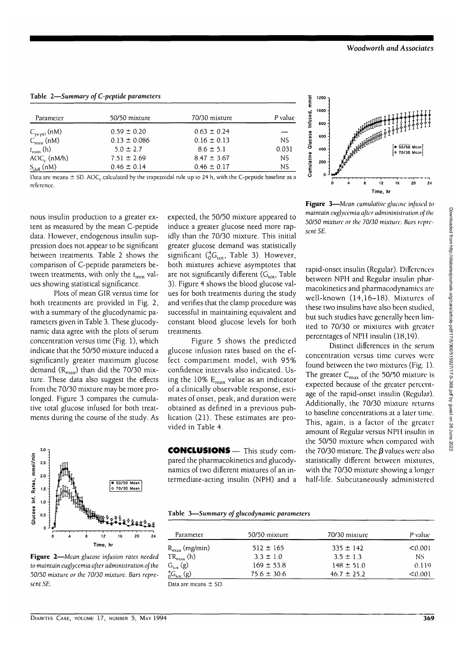Table 2—*Summary of C-peptide parameters*

| Parameter              | 50/50 mixture    | 70/30 mixture   | P value |  |
|------------------------|------------------|-----------------|---------|--|
| $C_{\text{pep0}}$ (nM) | $0.59 \pm 0.20$  | $0.63 \pm 0.24$ |         |  |
| $C_{\text{min}}$ (nM)  | $0.13 \pm 0.086$ | $0.16 \pm 0.13$ | NS.     |  |
| $t_{\min}$ (h)         | $5.0 \pm 2.7$    | $8.6 \pm 5.1$   | 0.031   |  |
| $AOC_c$ (nM/h)         | $7.51 \pm 2.69$  | $8.47 \pm 3.67$ | NS.     |  |
| $S_{\text{diff}}(nM)$  | $0.46 \pm 0.14$  | $0.46 \pm 0.17$ | NS      |  |

Data are means  $\pm$  SD. AOC<sub>c</sub> calculated by the trapezoidal rule up to 24 h, with the C-peptide baseline as a reference.

nous insulin production to a greater extent as measured by the mean C-peptide data. However, endogenous insulin suppression does not appear to be significant between treatments. Table 2 shows the comparison of C-peptide parameters between treatments, with only the  $t_{\min}$  values showing statistical significance.

Plots of mean GIR versus time for both treatments are provided in Fig. 2, with a summary of the glucodynamic parameters given in Table 3. These glucodynamic data agree with the plots of serum concentration versus time (Fig. 1), which indicate that the 50/50 mixture induced a significantly greater maximum glucose demand  $(R_{\text{max}})$  than did the 70/30 mixture. These data also suggest the effects from the 70/30 mixture may be more prolonged. Figure 3 compares the cumulative total glucose infused for both treatments during the course of the study. As



**Figure 2**—*Mean glucose infusion rates needed to maintain euglycemia after administration of the 50/50 mixture or the 70/30 mixture. Bars represent* SE.

expected, the 50/50 mixture appeared to induce a greater glucose need more rapidly than the 70/30 mixture. This initial greater glucose demand was statistically significant  $({}^{4}_{0}G_{\text{tot}},$  Table 3). However, both mixtures achieve asymptotes that are not significantly different  $(G<sub>tot</sub>,$  Table 3). Figure 4 shows the blood glucose values for both treatments during the study and verifies that the clamp procedure was successful in maintaining equivalent and constant blood glucose levels for both treatments.

Figure 5 shows the predicted glucose infusion rates based on the effect compartment model, with 95% confidence intervals also indicated. Using the 10%  $E_{\text{max}}$  value as an indicator of a clinically observable response, estimates of onset, peak, and duration were obtained as defined in a previous publication (21). These estimates are provided in Table 4.

CONCLUSIONS— This study compared the pharmacokinetics and glucodynamics of two different mixtures of an intermediate-acting insulin (NPH) and a



**Figure 3**—Mean *cumulative glucose injused to maintain euglycemia after admininistratkm of the 50/50* mixture *or the 70/30 mixture. Bars represent SE.*

rapid-onset insulin (Regular). Differences between NPH and Regular insulin pharmacokinetics and pharmacodynamics are well-known (14,16-18). Mixtures of these two insulins have also been studied, but such studies have generally been limited to 70/30 or mixtures with greater percentages of NPH insulin (18,19).

Distinct differences in the serum concentration versus time curves were found between the two mixtures (Fig. 1). The greater  $C_{\text{max}}$  of the 50/50 mixture is expected because of the greater percentage of the rapid-onset insulin (Regular). Additionally, the 70/30 mixture returns to baseline concentrations at a later time. This, again, is a factor of the greater amount of Regular versus NPH insulin in the 50/50 mixture when compared with the 70/30 mixture. The  $\beta$  values were also statistically different between mixtures, with the 70/30 mixture showing a longer half-life. Subcutaneously administered

|  | Table 3-Summary of glucodynamic parameters |  |
|--|--------------------------------------------|--|
|--|--------------------------------------------|--|

| Parameter                     | 50/50 mixture   | 70/30 mixture   | P value. |
|-------------------------------|-----------------|-----------------|----------|
| $R_{\text{max}}$ (mg/min)     | $512 \pm 165$   | $335 \pm 142$   | < 0.001  |
| $TR_{\text{max}}$ (h)         | $3.3 \pm 1.0$   | $3.5 \pm 1.3$   | NS.      |
| $G_{\text{tot}}(g)$           | $169 \pm 53.8$  | $148 \pm 51.0$  | 0.119    |
| ${}^{4}_{0}G_{\text{tot}}(g)$ | $75.6 \pm 30.6$ | $46.7 \pm 25.2$ | < 0.001  |

Data are means ± SD.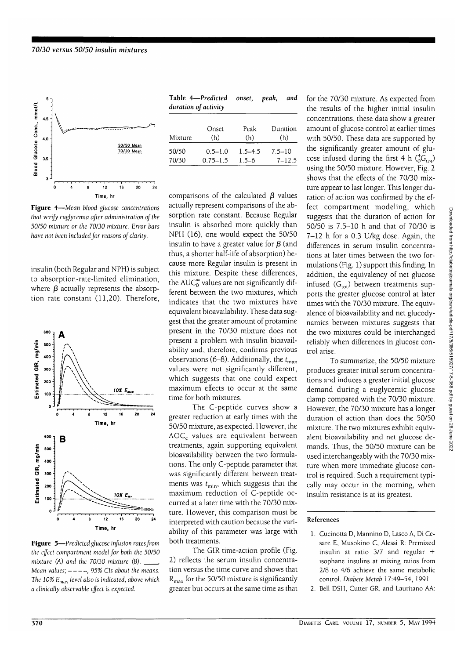

**Figure 4**—Mean *blood glucose concentrations that verify cuglyccmia after administration of the 50/50 mixture or the 70/30 mixture. Error bars have not been included for reasons of clarity.*

insulin (both Regular and NPH) is subject to absorption-rate-limited elimination, where  $\beta$  actually represents the absorption rate constant (11,20). Therefore,



**Figure 5**—*Predicted glucose infusion rates from the effect compartment model for both the 50/50 mixture (A) and the 70/30 mixture (B).* , Mean values;  $---$ , 95% CIs about the means. *The 10% Emax level also is indicated, above which a clinically observable effect is expected.*

| Table 4—Predicted onset, peak, and |  |  |
|------------------------------------|--|--|
| duration of activity               |  |  |

| Mixture | Onset        | Peak        | Duration   |
|---------|--------------|-------------|------------|
|         | (h)          | (h)         | (h)        |
| 50/50   | $0.5 - 1.0$  | $1.5 - 4.5$ | $7.5 - 10$ |
| 70/30   | $0.75 - 1.5$ | $15-6$      | $7 - 125$  |

comparisons of the calculated  $\beta$  values actually represent comparisons of the absorption rate constant. Because Regular insulin is absorbed more quickly than NPH (16), one would expect the 50/50 insulin to have a greater value for  $\beta$  (and thus, a shorter half-life of absorption) because more Regular insulin is present in this mixture. Despite these differences, the  $AUC<sub>0</sub><sup>\infty</sup>$  values are not significantly different between the two mixtures, which indicates that the two mixtures have equivalent bioavailability. These data suggest that the greater amount of protamine present in the 70/30 mixture does not present a problem with insulin bioavailability and, therefore, confirms previous observations (6-8). Additionally, the  $t_{\text{max}}$ values were not significantly different, which suggests that one could expect maximum effects to occur at the same time for both mixtures.

The C-peptide curves show a greater reduction at early times with the 50/50 mixture, as expected. However, the AOC<sub>c</sub> values are equivalent between treatments, again supporting equivalent bioavailability between the two formulations. The only C-peptide parameter that was significantly different between treatments was  $t_{\min}$ , which suggests that the maximum reduction of C-peptide occurred at a later time with the 70/30 mixture. However, this comparison must be interpreted with caution because the variability of this parameter was large with both treatments.

The GIR time-action profile (Fig. 2) reflects the serum insulin concentration versus the time curve and shows that  $R_{\text{max}}$  for the 50/50 mixture is significantly greater but occurs at the same time as that for the 70/30 mixture. As expected from the results of the higher initial insulin concentrations, these data show a greater amount of glucose control at earlier times with 50/50. These data are supported by the significantly greater amount of glucose infused during the first 4 h  $(^{4}_{0}G_{101})$ using the 50/50 mixture. However, Fig. 2 shows that the effects of the 70/30 mixture appear to last longer. This longer duration of action was confirmed by the effect compartment modeling, which suggests that the duration of action for 50/50 is 7.5-10 h and that of 70/30 is 7-12 h for a 0.3 U/kg dose. Again, the differences in serum insulin concentrations at later times between the two formulations (Fig. 1) support this finding. In addition, the equivalency of net glucose infused  $(G<sub>tot</sub>)$  between treatments supports the greater glucose control at later times with the 70/30 mixture. The equivalence of bioavailability and net glucodynamics between mixtures suggests that the two mixtures could be interchanged reliably when differences in glucose control arise.

To summarize, the 50/50 mixture produces greater initial serum concentrations and induces a greater initial glucose demand during a euglycemic glucose clamp compared with the 70/30 mixture. However, the 70/30 mixture has a longer duration of action than does the 50/50 mixture. The two mixtures exhibit equivalent bioavailability and net glucose demands. Thus, the 50/50 mixture can be used interchangeably with the 70/30 mixture when more immediate glucose control is required. Such a requirement typically may occur in the morning, when insulin resistance is at its greatest.

#### References

- 1. Cucinotta D, Mannino D, Lasco A, Di Cesare E, Musokino C, Alessi R: Premixed insulin at ratio  $3/7$  and regular + isophane insulins at mixing ratios from 2/8 to 4/6 achieve the same metabolic control. Diabete Metab 17:49-54, 1991
- 2. Bell DSH, Cutter GR, and Lauritano AA: